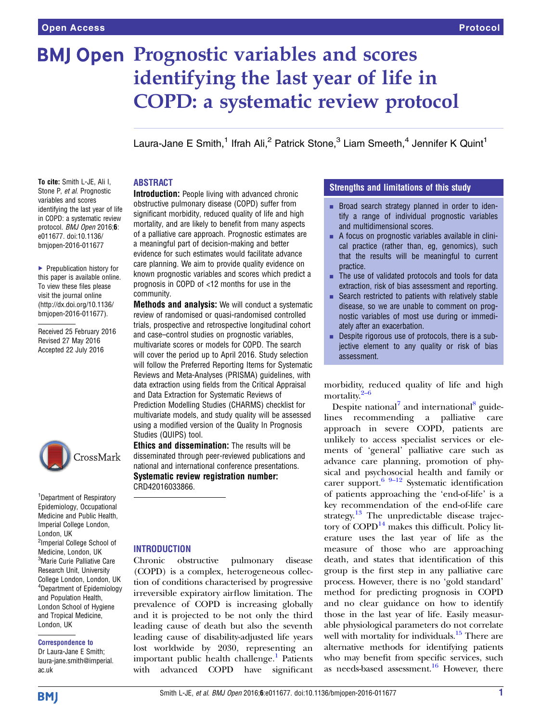# **BMJ Open Prognostic variables and scores** identifying the last year of life in COPD: a systematic review protocol

Laura-Jane E Smith,<sup>1</sup> Ifrah Ali,<sup>2</sup> Patrick Stone,<sup>3</sup> Liam Smeeth,<sup>4</sup> Jennifer K Quint<sup>1</sup>

### ABSTRACT

To cite: Smith L-JE, Ali I, Stone P, et al. Prognostic variables and scores identifying the last year of life in COPD: a systematic review protocol. BMJ Open 2016;6: e011677. doi:10.1136/ bmjopen-2016-011677

▶ Prepublication history for this paper is available online. To view these files please visit the journal online [\(http://dx.doi.org/10.1136/](http://dx.doi.org/10.1136/bmjopen-2016-011677) [bmjopen-2016-011677](http://dx.doi.org/10.1136/bmjopen-2016-011677)).

Received 25 February 2016 Revised 27 May 2016 Accepted 22 July 2016



<sup>1</sup> Department of Respiratory Epidemiology, Occupational Medicine and Public Health, Imperial College London, London, UK <sup>2</sup>Imperial College School of Medicine, London, UK <sup>3</sup>Marie Curie Palliative Care Research Unit, University College London, London, UK 4 Department of Epidemiology and Population Health, London School of Hygiene and Tropical Medicine, London, UK

#### Correspondence to

Dr Laura-Jane E Smith; laura-jane.smith@imperial. ac.uk

Introduction: People living with advanced chronic obstructive pulmonary disease (COPD) suffer from significant morbidity, reduced quality of life and high mortality, and are likely to benefit from many aspects of a palliative care approach. Prognostic estimates are a meaningful part of decision-making and better evidence for such estimates would facilitate advance care planning. We aim to provide quality evidence on known prognostic variables and scores which predict a prognosis in COPD of <12 months for use in the community.

**Methods and analysis:** We will conduct a systematic review of randomised or quasi-randomised controlled trials, prospective and retrospective longitudinal cohort and case–control studies on prognostic variables, multivariate scores or models for COPD. The search will cover the period up to April 2016. Study selection will follow the Preferred Reporting Items for Systematic Reviews and Meta-Analyses (PRISMA) guidelines, with data extraction using fields from the Critical Appraisal and Data Extraction for Systematic Reviews of Prediction Modelling Studies (CHARMS) checklist for multivariate models, and study quality will be assessed using a modified version of the Quality In Prognosis Studies (QUIPS) tool.

Ethics and dissemination: The results will be disseminated through peer-reviewed publications and national and international conference presentations. Systematic review registration number: CRD42016033866.

#### **INTRODUCTION**

Chronic obstructive pulmonary disease (COPD) is a complex, heterogeneous collection of conditions characterised by progressive irreversible expiratory airflow limitation. The prevalence of COPD is increasing globally and it is projected to be not only the third leading cause of death but also the seventh leading cause of disability-adjusted life years lost worldwide by 2030, representing an important public health challenge.<sup>[1](#page-3-0)</sup> Patients with advanced COPD have significant

#### Strengths and limitations of this study

- **EXECUTE:** Broad search strategy planned in order to identify a range of individual prognostic variables and multidimensional scores.
- A focus on prognostic variables available in clinical practice (rather than, eg, genomics), such that the results will be meaningful to current practice.
- $\blacksquare$  The use of validated protocols and tools for data extraction, risk of bias assessment and reporting.
- $\blacksquare$  Search restricted to patients with relatively stable disease, so we are unable to comment on prognostic variables of most use during or immediately after an exacerbation.
- $\blacksquare$  Despite rigorous use of protocols, there is a subjective element to any quality or risk of bias assessment.

morbidity, reduced quality of life and high mortality. $2-6$  $2-6$ 

Despite national<sup>[7](#page-3-0)</sup> and international<sup>[8](#page-3-0)</sup> guidelines recommending a palliative care approach in severe COPD, patients are unlikely to access specialist services or elements of 'general' palliative care such as advance care planning, promotion of physical and psychosocial health and family or carer support.<sup>[6](#page-3-0) 9–[12](#page-3-0)</sup> Systematic identification of patients approaching the 'end-of-life' is a key recommendation of the end-of-life care strategy.<sup>13</sup> The unpredictable disease trajectory of  $\text{COPD}^{14}$  $\text{COPD}^{14}$  $\text{COPD}^{14}$  makes this difficult. Policy literature uses the last year of life as the measure of those who are approaching death, and states that identification of this group is the first step in any palliative care process. However, there is no 'gold standard' method for predicting prognosis in COPD and no clear guidance on how to identify those in the last year of life. Easily measurable physiological parameters do not correlate well with mortality for individuals. $15$  There are alternative methods for identifying patients who may benefit from specific services, such as needs-based assessment.<sup>16</sup> However, there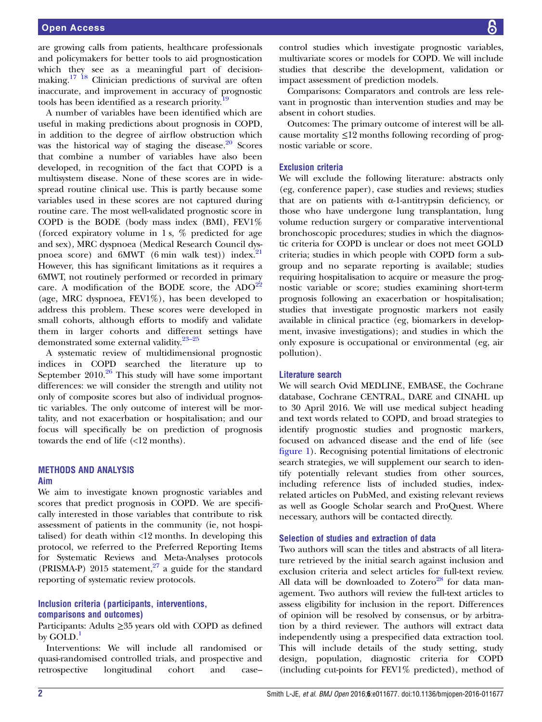are growing calls from patients, healthcare professionals and policymakers for better tools to aid prognostication which they see as a meaningful part of decision-making.<sup>[17 18](#page-3-0)</sup> Clinician predictions of survival are often inaccurate, and improvement in accuracy of prognostic tools has been identified as a research priority.<sup>19</sup>

A number of variables have been identified which are useful in making predictions about prognosis in COPD, in addition to the degree of airflow obstruction which was the historical way of staging the disease. $20$  Scores that combine a number of variables have also been developed, in recognition of the fact that COPD is a multisystem disease. None of these scores are in widespread routine clinical use. This is partly because some variables used in these scores are not captured during routine care. The most well-validated prognostic score in COPD is the BODE (body mass index  $(BMI)$ ,  $FEVI\%$ (forced expiratory volume in 1 s,  $%$  predicted for age and sex), MRC dyspnoea (Medical Research Council dyspnoea score) and  $6MWT$  (6 min walk test)) index.<sup>[21](#page-3-0)</sup> However, this has significant limitations as it requires a 6MWT, not routinely performed or recorded in primary care. A modification of the BODE score, the  $ADO^{22}$  $ADO^{22}$  $ADO^{22}$ (age, MRC dyspnoea, FEV1%), has been developed to address this problem. These scores were developed in small cohorts, although efforts to modify and validate them in larger cohorts and different settings have demonstrated some external validity[.23](#page-3-0)–<sup>25</sup>

A systematic review of multidimensional prognostic indices in COPD searched the literature up to September  $2010.<sup>26</sup>$  $2010.<sup>26</sup>$  $2010.<sup>26</sup>$  This study will have some important differences: we will consider the strength and utility not only of composite scores but also of individual prognostic variables. The only outcome of interest will be mortality, and not exacerbation or hospitalisation; and our focus will specifically be on prediction of prognosis towards the end of life (<12 months).

# METHODS AND ANALYSIS

#### Aim

We aim to investigate known prognostic variables and scores that predict prognosis in COPD. We are specifically interested in those variables that contribute to risk assessment of patients in the community (ie, not hospitalised) for death within <12 months. In developing this protocol, we referred to the Preferred Reporting Items for Systematic Reviews and Meta-Analyses protocols (PRISMA-P) 2015 statement, $27$  a guide for the standard reporting of systematic review protocols.

# Inclusion criteria ( participants, interventions, comparisons and outcomes)

Participants: Adults ≥35 years old with COPD as defined by GOLD.<sup>1</sup>

Interventions: We will include all randomised or quasi-randomised controlled trials, and prospective and retrospective longitudinal cohort and case–

control studies which investigate prognostic variables, multivariate scores or models for COPD. We will include studies that describe the development, validation or impact assessment of prediction models.

Comparisons: Comparators and controls are less relevant in prognostic than intervention studies and may be absent in cohort studies.

Outcomes: The primary outcome of interest will be allcause mortality ≤12 months following recording of prognostic variable or score.

#### Exclusion criteria

We will exclude the following literature: abstracts only (eg, conference paper), case studies and reviews; studies that are on patients with α-1-antitrypsin deficiency, or those who have undergone lung transplantation, lung volume reduction surgery or comparative interventional bronchoscopic procedures; studies in which the diagnostic criteria for COPD is unclear or does not meet GOLD criteria; studies in which people with COPD form a subgroup and no separate reporting is available; studies requiring hospitalisation to acquire or measure the prognostic variable or score; studies examining short-term prognosis following an exacerbation or hospitalisation; studies that investigate prognostic markers not easily available in clinical practice (eg, biomarkers in development, invasive investigations); and studies in which the only exposure is occupational or environmental (eg, air pollution).

#### Literature search

We will search Ovid MEDLINE, EMBASE, the Cochrane database, Cochrane CENTRAL, DARE and CINAHL up to 30 April 2016. We will use medical subject heading and text words related to COPD, and broad strategies to identify prognostic studies and prognostic markers, focused on advanced disease and the end of life (see fi[gure 1](#page-2-0)). Recognising potential limitations of electronic search strategies, we will supplement our search to identify potentially relevant studies from other sources, including reference lists of included studies, indexrelated articles on PubMed, and existing relevant reviews as well as Google Scholar search and ProQuest. Where necessary, authors will be contacted directly.

#### Selection of studies and extraction of data

Two authors will scan the titles and abstracts of all literature retrieved by the initial search against inclusion and exclusion criteria and select articles for full-text review. All data will be downloaded to Zotero $^{28}$  $^{28}$  $^{28}$  for data management. Two authors will review the full-text articles to assess eligibility for inclusion in the report. Differences of opinion will be resolved by consensus, or by arbitration by a third reviewer. The authors will extract data independently using a prespecified data extraction tool. This will include details of the study setting, study design, population, diagnostic criteria for COPD (including cut-points for FEV1% predicted), method of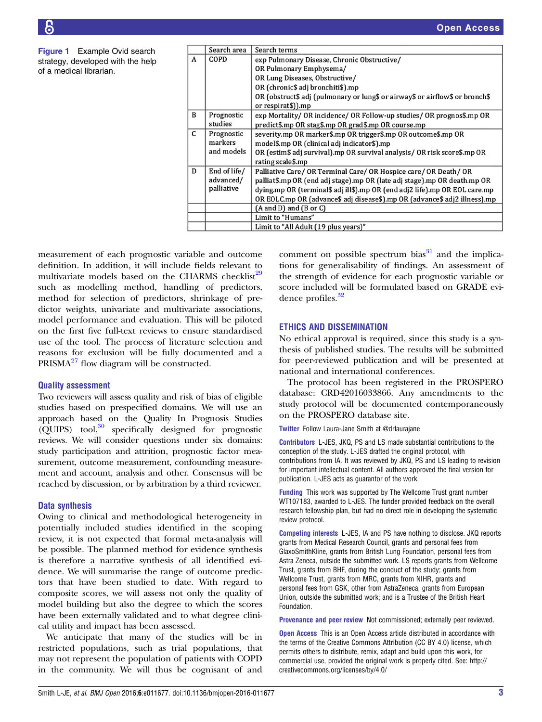<span id="page-2-0"></span>Figure 1 Example Ovid search strategy, developed with the help of a medical librarian.

|   | Search area  | Search terms                                                                                       |
|---|--------------|----------------------------------------------------------------------------------------------------|
| A | COPD         | exp Pulmonary Disease, Chronic Obstructive/                                                        |
|   |              | OR Pulmonary Emphysema/                                                                            |
|   |              | OR Lung Diseases, Obstructive/                                                                     |
|   |              | OR (chronic\$ adj bronchiti\$).mp                                                                  |
|   |              | OR (obstruct\$ adj (pulmonary or lung\$ or airway\$ or airflow\$ or bronch\$<br>or respirat\$)).mp |
| R | Prognostic   | exp Mortality/ OR incidence/ OR Follow-up studies/ OR prognos\$.mp OR                              |
|   | studies      | predict\$.mp OR stag\$.mp OR grad\$.mp OR course.mp                                                |
| C | Prognostic   | severity.mp OR marker\$.mp OR trigger\$.mp OR outcome\$.mp OR                                      |
|   | markers      | model\$.mp OR (clinical adj indicator\$).mp                                                        |
|   | and models   | OR (estim\$ adj survival).mp OR survival analysis/ OR risk score\$.mp OR                           |
|   |              | rating scale\$.mp                                                                                  |
| D | End of life/ | Palliative Care/ OR Terminal Care/ OR Hospice care/ OR Death/ OR                                   |
|   | advanced/    | palliat\$.mp OR (end adj stage).mp OR (late adj stage).mp OR death.mp OR                           |
|   | palliative   | dying.mp OR (terminal\$ adj ill\$).mp OR (end adj2 life).mp OR EOL care.mp                         |
|   |              | OR EOLC.mp OR (advance\$ adj disease\$).mp OR (advance\$ adj2 illness).mp                          |
|   |              | $(A \text{ and } D)$ and $(B \text{ or } C)$                                                       |
|   |              | Limit to "Humans"                                                                                  |
|   |              | Limit to "All Adult (19 plus years)"                                                               |

measurement of each prognostic variable and outcome definition. In addition, it will include fields relevant to multivariate models based on the CHARMS checklist<sup>[29](#page-3-0)</sup> such as modelling method, handling of predictors, method for selection of predictors, shrinkage of predictor weights, univariate and multivariate associations, model performance and evaluation. This will be piloted on the first five full-text reviews to ensure standardised use of the tool. The process of literature selection and reasons for exclusion will be fully documented and a  $PRISMA<sup>27</sup>$  $PRISMA<sup>27</sup>$  $PRISMA<sup>27</sup>$  flow diagram will be constructed.

#### Quality assessment

Two reviewers will assess quality and risk of bias of eligible studies based on prespecified domains. We will use an approach based on the Quality In Prognosis Studies  $\overline{(QUIPS)}$  tool,<sup>30</sup> specifically designed for prognostic reviews. We will consider questions under six domains: study participation and attrition, prognostic factor measurement, outcome measurement, confounding measurement and account, analysis and other. Consensus will be reached by discussion, or by arbitration by a third reviewer.

#### Data synthesis

Owing to clinical and methodological heterogeneity in potentially included studies identified in the scoping review, it is not expected that formal meta-analysis will be possible. The planned method for evidence synthesis is therefore a narrative synthesis of all identified evidence. We will summarise the range of outcome predictors that have been studied to date. With regard to composite scores, we will assess not only the quality of model building but also the degree to which the scores have been externally validated and to what degree clinical utility and impact has been assessed.

We anticipate that many of the studies will be in restricted populations, such as trial populations, that may not represent the population of patients with COPD in the community. We will thus be cognisant of and comment on possible spectrum bias $31$  and the implications for generalisability of findings. An assessment of the strength of evidence for each prognostic variable or score included will be formulated based on GRADE evi-dence profiles.<sup>[32](#page-3-0)</sup>

#### ETHICS AND DISSEMINATION

No ethical approval is required, since this study is a synthesis of published studies. The results will be submitted for peer-reviewed publication and will be presented at national and international conferences.

The protocol has been registered in the PROSPERO database: CRD42016033866. Any amendments to the study protocol will be documented contemporaneously on the PROSPERO database site.

Twitter Follow Laura-Jane Smith at [@drlaurajane](http://twitter.com/drlaurajane)

Contributors L-JES, JKQ, PS and LS made substantial contributions to the conception of the study. L-JES drafted the original protocol, with contributions from IA. It was reviewed by JKQ, PS and LS leading to revision for important intellectual content. All authors approved the final version for publication. L-JES acts as guarantor of the work.

Funding This work was supported by The Wellcome Trust grant number WT107183, awarded to L-JES. The funder provided feedback on the overall research fellowship plan, but had no direct role in developing the systematic review protocol.

Competing interests L-JES, IA and PS have nothing to disclose. JKQ reports grants from Medical Research Council, grants and personal fees from GlaxoSmithKline, grants from British Lung Foundation, personal fees from Astra Zeneca, outside the submitted work. LS reports grants from Wellcome Trust, grants from BHF, during the conduct of the study; grants from Wellcome Trust, grants from MRC, grants from NIHR, grants and personal fees from GSK, other from AstraZeneca, grants from European Union, outside the submitted work; and is a Trustee of the British Heart Foundation.

Provenance and peer review Not commissioned; externally peer reviewed.

**Open Access** This is an Open Access article distributed in accordance with the terms of the Creative Commons Attribution (CC BY 4.0) license, which permits others to distribute, remix, adapt and build upon this work, for commercial use, provided the original work is properly cited. See: [http://](http://creativecommons.org/licenses/by/4.0/) [creativecommons.org/licenses/by/4.0/](http://creativecommons.org/licenses/by/4.0/)